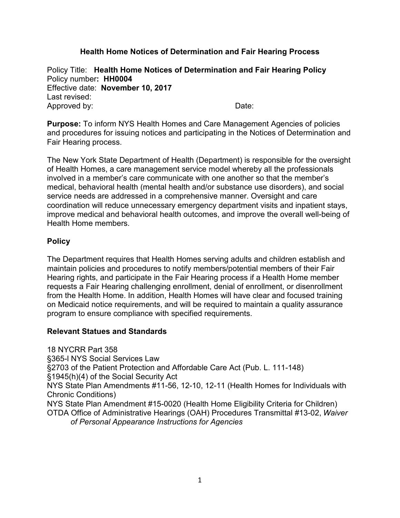### **Health Home Notices of Determination and Fair Hearing Process**

Policy Title: **Health Home Notices of Determination and Fair Hearing Policy** Policy number**: HH0004** Effective date: **November 10, 2017** Last revised: Approved by: Date:

**Purpose:** To inform NYS Health Homes and Care Management Agencies of policies and procedures for issuing notices and participating in the Notices of Determination and Fair Hearing process.

The New York State Department of Health (Department) is responsible for the oversight of Health Homes, a care management service model whereby all the professionals involved in a member's care communicate with one another so that the member's medical, behavioral health (mental health and/or substance use disorders), and social service needs are addressed in a comprehensive manner. Oversight and care coordination will reduce unnecessary emergency department visits and inpatient stays, improve medical and behavioral health outcomes, and improve the overall well-being of Health Home members.

### **Policy**

The Department requires that Health Homes serving adults and children establish and maintain policies and procedures to notify members/potential members of their Fair Hearing rights, and participate in the Fair Hearing process if a Health Home member requests a Fair Hearing challenging enrollment, denial of enrollment, or disenrollment from the Health Home. In addition, Health Homes will have clear and focused training on Medicaid notice requirements, and will be required to maintain a quality assurance program to ensure compliance with specified requirements.

#### **Relevant Statues and Standards**

18 NYCRR Part 358 §365-l NYS Social Services Law §2703 of the Patient Protection and Affordable Care Act (Pub. L. 111-148) §1945(h)(4) of the Social Security Act NYS State Plan Amendments #11-56, 12-10, 12-11 (Health Homes for Individuals with Chronic Conditions) NYS State Plan Amendment #15-0020 (Health Home Eligibility Criteria for Children) OTDA Office of Administrative Hearings (OAH) Procedures Transmittal #13-02, *Waiver of Personal Appearance Instructions for Agencies*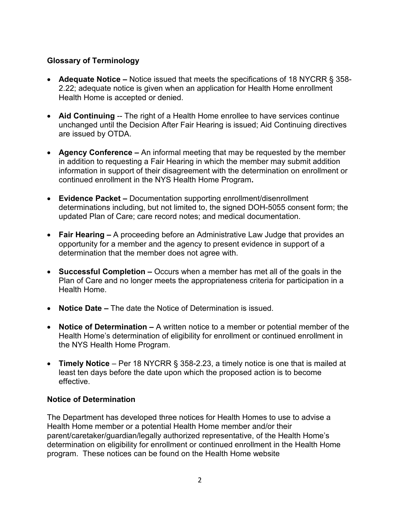## **Glossary of Terminology**

- **Adequate Notice** Notice issued that meets the specifications of 18 NYCRR § 358- 2.22; adequate notice is given when an application for Health Home enrollment Health Home is accepted or denied.
- Aid Continuing -- The right of a Health Home enrollee to have services continue unchanged until the Decision After Fair Hearing is issued; Aid Continuing directives are issued by OTDA.
- **Agency Conference** An informal meeting that may be requested by the member in addition to requesting a Fair Hearing in which the member may submit addition information in support of their disagreement with the determination on enrollment or continued enrollment in the NYS Health Home Program**.**
- **Evidence Packet** Documentation supporting enrollment/disenrollment determinations including, but not limited to, the signed DOH-5055 consent form; the updated Plan of Care; care record notes; and medical documentation.
- **Fair Hearing** A proceeding before an Administrative Law Judge that provides an opportunity for a member and the agency to present evidence in support of a determination that the member does not agree with.
- **Successful Completion** Occurs when a member has met all of the goals in the Plan of Care and no longer meets the appropriateness criteria for participation in a Health Home.
- **Notice Date** The date the Notice of Determination is issued.
- **Notice of Determination** A written notice to a member or potential member of the Health Home's determination of eligibility for enrollment or continued enrollment in the NYS Health Home Program.
- **Timely Notice** Per 18 NYCRR § 358-2.23, a timely notice is one that is mailed at least ten days before the date upon which the proposed action is to become effective.

## **Notice of Determination**

The Department has developed three notices for Health Homes to use to advise a Health Home member or a potential Health Home member and/or their parent/caretaker/guardian/legally authorized representative, of the Health Home's determination on eligibility for enrollment or continued enrollment in the Health Home program. These notices can be found on the Health Home website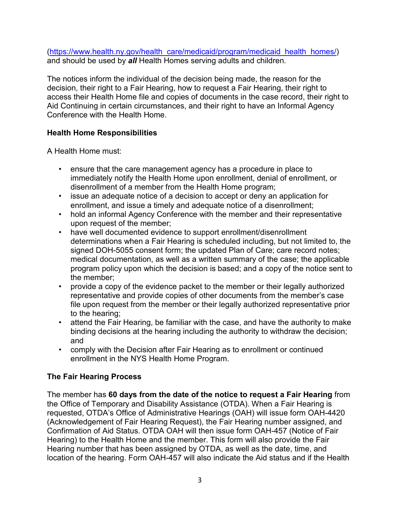(https://www.health.ny.gov/health\_care/medicaid/program/medicaid\_health\_homes/) and should be used by *all* Health Homes serving adults and children.

The notices inform the individual of the decision being made, the reason for the decision, their right to a Fair Hearing, how to request a Fair Hearing, their right to access their Health Home file and copies of documents in the case record, their right to Aid Continuing in certain circumstances, and their right to have an Informal Agency Conference with the Health Home.

# **Health Home Responsibilities**

A Health Home must:

- ensure that the care management agency has a procedure in place to immediately notify the Health Home upon enrollment, denial of enrollment, or disenrollment of a member from the Health Home program;
- issue an adequate notice of a decision to accept or deny an application for enrollment, and issue a timely and adequate notice of a disenrollment;
- hold an informal Agency Conference with the member and their representative upon request of the member;
- have well documented evidence to support enrollment/disenrollment determinations when a Fair Hearing is scheduled including, but not limited to, the signed DOH-5055 consent form; the updated Plan of Care; care record notes; medical documentation, as well as a written summary of the case; the applicable program policy upon which the decision is based; and a copy of the notice sent to the member;
- provide a copy of the evidence packet to the member or their legally authorized representative and provide copies of other documents from the member's case file upon request from the member or their legally authorized representative prior to the hearing;
- attend the Fair Hearing, be familiar with the case, and have the authority to make binding decisions at the hearing including the authority to withdraw the decision; and
- comply with the Decision after Fair Hearing as to enrollment or continued enrollment in the NYS Health Home Program.

## **The Fair Hearing Process**

The member has **60 days from the date of the notice to request a Fair Hearing** from the Office of Temporary and Disability Assistance (OTDA). When a Fair Hearing is requested, OTDA's Office of Administrative Hearings (OAH) will issue form OAH-4420 (Acknowledgement of Fair Hearing Request), the Fair Hearing number assigned, and Confirmation of Aid Status. OTDA OAH will then issue form OAH-457 (Notice of Fair Hearing) to the Health Home and the member. This form will also provide the Fair Hearing number that has been assigned by OTDA, as well as the date, time, and location of the hearing. Form OAH-457 will also indicate the Aid status and if the Health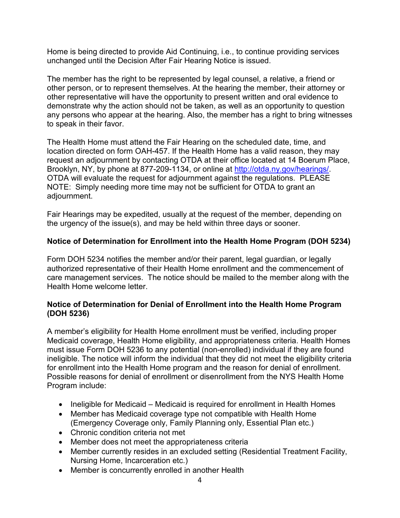Home is being directed to provide Aid Continuing, i.e., to continue providing services unchanged until the Decision After Fair Hearing Notice is issued.

The member has the right to be represented by legal counsel, a relative, a friend or other person, or to represent themselves. At the hearing the member, their attorney or other representative will have the opportunity to present written and oral evidence to demonstrate why the action should not be taken, as well as an opportunity to question any persons who appear at the hearing. Also, the member has a right to bring witnesses to speak in their favor.

The Health Home must attend the Fair Hearing on the scheduled date, time, and location directed on form OAH-457. If the Health Home has a valid reason, they may request an adjournment by contacting OTDA at their office located at 14 Boerum Place, Brooklyn, NY, by phone at 877-209-1134, or online at http://otda.ny.gov/hearings/. OTDA will evaluate the request for adjournment against the regulations. PLEASE NOTE: Simply needing more time may not be sufficient for OTDA to grant an adjournment.

Fair Hearings may be expedited, usually at the request of the member, depending on the urgency of the issue(s), and may be held within three days or sooner.

## **Notice of Determination for Enrollment into the Health Home Program (DOH 5234)**

Form DOH 5234 notifies the member and/or their parent, legal guardian, or legally authorized representative of their Health Home enrollment and the commencement of care management services. The notice should be mailed to the member along with the Health Home welcome letter.

### **Notice of Determination for Denial of Enrollment into the Health Home Program (DOH 5236)**

A member's eligibility for Health Home enrollment must be verified, including proper Medicaid coverage, Health Home eligibility, and appropriateness criteria. Health Homes must issue Form DOH 5236 to any potential (non-enrolled) individual if they are found ineligible. The notice will inform the individual that they did not meet the eligibility criteria for enrollment into the Health Home program and the reason for denial of enrollment. Possible reasons for denial of enrollment or disenrollment from the NYS Health Home Program include:

- Ineligible for Medicaid Medicaid is required for enrollment in Health Homes
- Member has Medicaid coverage type not compatible with Health Home (Emergency Coverage only, Family Planning only, Essential Plan etc.)
- Chronic condition criteria not met
- Member does not meet the appropriateness criteria
- Member currently resides in an excluded setting (Residential Treatment Facility, Nursing Home, Incarceration etc.)
- Member is concurrently enrolled in another Health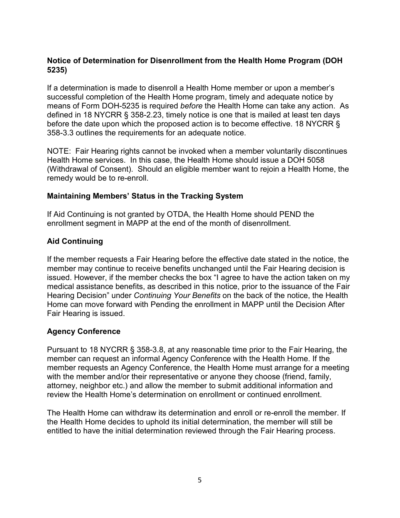## **Notice of Determination for Disenrollment from the Health Home Program (DOH 5235)**

If a determination is made to disenroll a Health Home member or upon a member's successful completion of the Health Home program, timely and adequate notice by means of Form DOH-5235 is required *before* the Health Home can take any action. As defined in 18 NYCRR § 358-2.23, timely notice is one that is mailed at least ten days before the date upon which the proposed action is to become effective. 18 NYCRR § 358-3.3 outlines the requirements for an adequate notice.

NOTE: Fair Hearing rights cannot be invoked when a member voluntarily discontinues Health Home services. In this case, the Health Home should issue a DOH 5058 (Withdrawal of Consent). Should an eligible member want to rejoin a Health Home, the remedy would be to re-enroll.

### **Maintaining Members' Status in the Tracking System**

If Aid Continuing is not granted by OTDA, the Health Home should PEND the enrollment segment in MAPP at the end of the month of disenrollment.

## **Aid Continuing**

If the member requests a Fair Hearing before the effective date stated in the notice, the member may continue to receive benefits unchanged until the Fair Hearing decision is issued. However, if the member checks the box "I agree to have the action taken on my medical assistance benefits, as described in this notice, prior to the issuance of the Fair Hearing Decision" under *Continuing Your Benefits* on the back of the notice, the Health Home can move forward with Pending the enrollment in MAPP until the Decision After Fair Hearing is issued.

# **Agency Conference**

Pursuant to 18 NYCRR § 358-3.8, at any reasonable time prior to the Fair Hearing, the member can request an informal Agency Conference with the Health Home. If the member requests an Agency Conference, the Health Home must arrange for a meeting with the member and/or their representative or anyone they choose (friend, family, attorney, neighbor etc.) and allow the member to submit additional information and review the Health Home's determination on enrollment or continued enrollment.

The Health Home can withdraw its determination and enroll or re-enroll the member. If the Health Home decides to uphold its initial determination, the member will still be entitled to have the initial determination reviewed through the Fair Hearing process.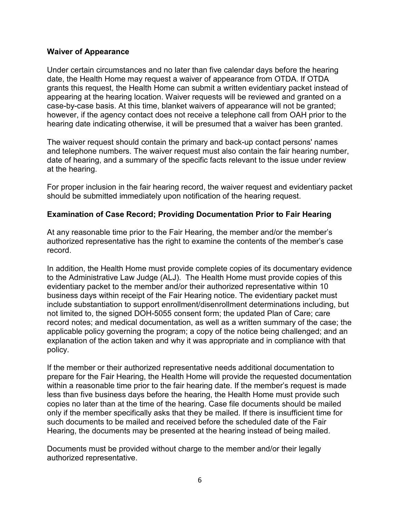#### **Waiver of Appearance**

Under certain circumstances and no later than five calendar days before the hearing date, the Health Home may request a waiver of appearance from OTDA. If OTDA grants this request, the Health Home can submit a written evidentiary packet instead of appearing at the hearing location. Waiver requests will be reviewed and granted on a case-by-case basis. At this time, blanket waivers of appearance will not be granted; however, if the agency contact does not receive a telephone call from OAH prior to the hearing date indicating otherwise, it will be presumed that a waiver has been granted.

The waiver request should contain the primary and back-up contact persons' names and telephone numbers. The waiver request must also contain the fair hearing number, date of hearing, and a summary of the specific facts relevant to the issue under review at the hearing.

For proper inclusion in the fair hearing record, the waiver request and evidentiary packet should be submitted immediately upon notification of the hearing request.

### **Examination of Case Record; Providing Documentation Prior to Fair Hearing**

At any reasonable time prior to the Fair Hearing, the member and/or the member's authorized representative has the right to examine the contents of the member's case record.

In addition, the Health Home must provide complete copies of its documentary evidence to the Administrative Law Judge (ALJ). The Health Home must provide copies of this evidentiary packet to the member and/or their authorized representative within 10 business days within receipt of the Fair Hearing notice. The evidentiary packet must include substantiation to support enrollment/disenrollment determinations including, but not limited to, the signed DOH-5055 consent form; the updated Plan of Care; care record notes; and medical documentation, as well as a written summary of the case; the applicable policy governing the program; a copy of the notice being challenged; and an explanation of the action taken and why it was appropriate and in compliance with that policy.

If the member or their authorized representative needs additional documentation to prepare for the Fair Hearing, the Health Home will provide the requested documentation within a reasonable time prior to the fair hearing date. If the member's request is made less than five business days before the hearing, the Health Home must provide such copies no later than at the time of the hearing. Case file documents should be mailed only if the member specifically asks that they be mailed. If there is insufficient time for such documents to be mailed and received before the scheduled date of the Fair Hearing, the documents may be presented at the hearing instead of being mailed.

Documents must be provided without charge to the member and/or their legally authorized representative.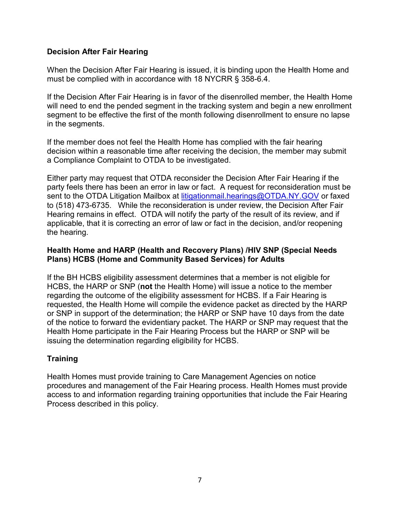## **Decision After Fair Hearing**

When the Decision After Fair Hearing is issued, it is binding upon the Health Home and must be complied with in accordance with 18 NYCRR § 358-6.4.

If the Decision After Fair Hearing is in favor of the disenrolled member, the Health Home will need to end the pended segment in the tracking system and begin a new enrollment segment to be effective the first of the month following disenrollment to ensure no lapse in the segments.

If the member does not feel the Health Home has complied with the fair hearing decision within a reasonable time after receiving the decision, the member may submit a Compliance Complaint to OTDA to be investigated.

Either party may request that OTDA reconsider the Decision After Fair Hearing if the party feels there has been an error in law or fact. A request for reconsideration must be sent to the OTDA Litigation Mailbox at litigationmail.hearings@OTDA.NY.GOV or faxed to (518) 473-6735. While the reconsideration is under review, the Decision After Fair Hearing remains in effect. OTDA will notify the party of the result of its review, and if applicable, that it is correcting an error of law or fact in the decision, and/or reopening the hearing.

#### **Health Home and HARP (Health and Recovery Plans) /HIV SNP (Special Needs Plans) HCBS (Home and Community Based Services) for Adults**

If the BH HCBS eligibility assessment determines that a member is not eligible for HCBS, the HARP or SNP (**not** the Health Home) will issue a notice to the member regarding the outcome of the eligibility assessment for HCBS. If a Fair Hearing is requested, the Health Home will compile the evidence packet as directed by the HARP or SNP in support of the determination; the HARP or SNP have 10 days from the date of the notice to forward the evidentiary packet. The HARP or SNP may request that the Health Home participate in the Fair Hearing Process but the HARP or SNP will be issuing the determination regarding eligibility for HCBS.

# **Training**

Health Homes must provide training to Care Management Agencies on notice procedures and management of the Fair Hearing process. Health Homes must provide access to and information regarding training opportunities that include the Fair Hearing Process described in this policy.